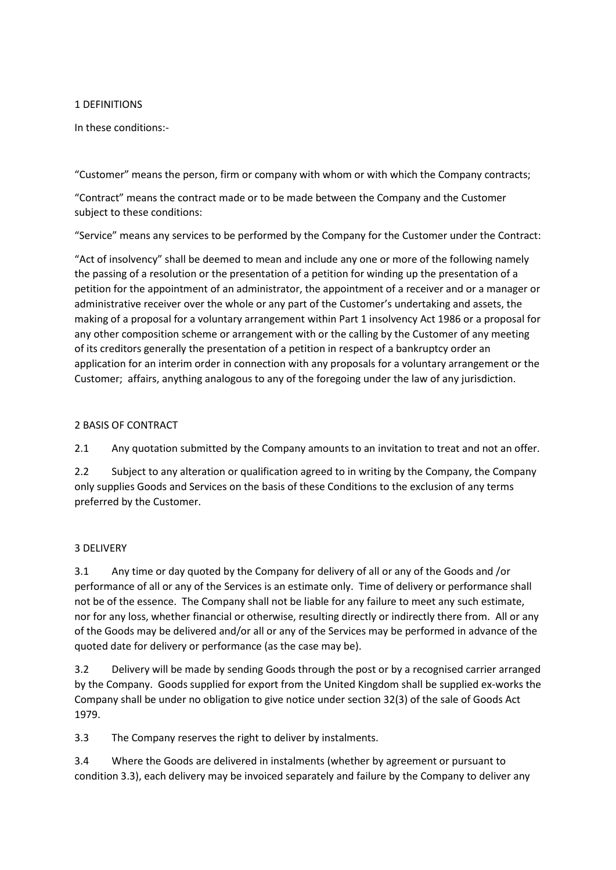### 1 DEFINITIONS

In these conditions:-

"Customer" means the person, firm or company with whom or with which the Company contracts;

"Contract" means the contract made or to be made between the Company and the Customer subject to these conditions:

"Service" means any services to be performed by the Company for the Customer under the Contract:

"Act of insolvency" shall be deemed to mean and include any one or more of the following namely the passing of a resolution or the presentation of a petition for winding up the presentation of a petition for the appointment of an administrator, the appointment of a receiver and or a manager or administrative receiver over the whole or any part of the Customer's undertaking and assets, the making of a proposal for a voluntary arrangement within Part 1 insolvency Act 1986 or a proposal for any other composition scheme or arrangement with or the calling by the Customer of any meeting of its creditors generally the presentation of a petition in respect of a bankruptcy order an application for an interim order in connection with any proposals for a voluntary arrangement or the Customer; affairs, anything analogous to any of the foregoing under the law of any jurisdiction.

### 2 BASIS OF CONTRACT

2.1 Any quotation submitted by the Company amounts to an invitation to treat and not an offer.

2.2 Subject to any alteration or qualification agreed to in writing by the Company, the Company only supplies Goods and Services on the basis of these Conditions to the exclusion of any terms preferred by the Customer.

## 3 DELIVERY

3.1 Any time or day quoted by the Company for delivery of all or any of the Goods and /or performance of all or any of the Services is an estimate only. Time of delivery or performance shall not be of the essence. The Company shall not be liable for any failure to meet any such estimate, nor for any loss, whether financial or otherwise, resulting directly or indirectly there from. All or any of the Goods may be delivered and/or all or any of the Services may be performed in advance of the quoted date for delivery or performance (as the case may be).

3.2 Delivery will be made by sending Goods through the post or by a recognised carrier arranged by the Company. Goods supplied for export from the United Kingdom shall be supplied ex-works the Company shall be under no obligation to give notice under section 32(3) of the sale of Goods Act 1979.

3.3 The Company reserves the right to deliver by instalments.

3.4 Where the Goods are delivered in instalments (whether by agreement or pursuant to condition 3.3), each delivery may be invoiced separately and failure by the Company to deliver any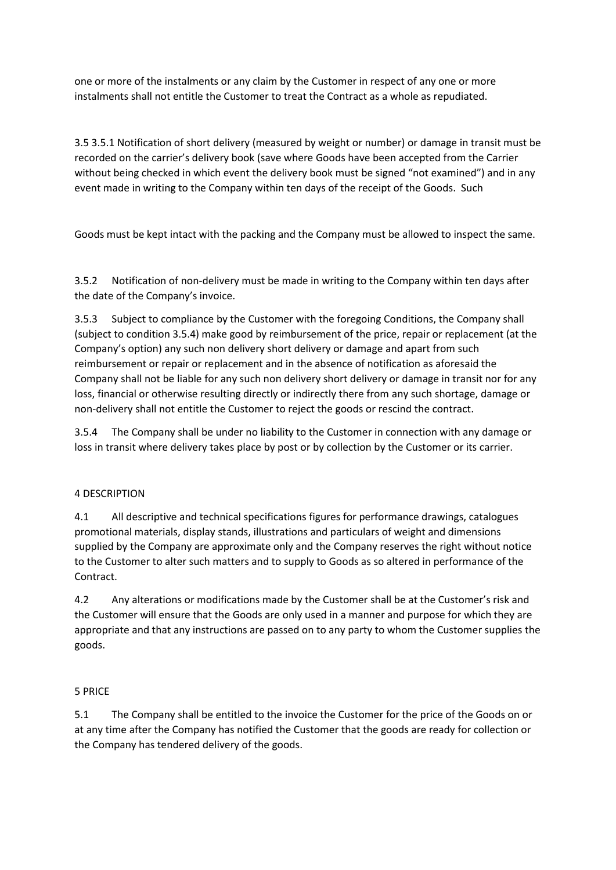one or more of the instalments or any claim by the Customer in respect of any one or more instalments shall not entitle the Customer to treat the Contract as a whole as repudiated.

3.5 3.5.1 Notification of short delivery (measured by weight or number) or damage in transit must be recorded on the carrier's delivery book (save where Goods have been accepted from the Carrier without being checked in which event the delivery book must be signed "not examined") and in any event made in writing to the Company within ten days of the receipt of the Goods. Such

Goods must be kept intact with the packing and the Company must be allowed to inspect the same.

3.5.2 Notification of non-delivery must be made in writing to the Company within ten days after the date of the Company's invoice.

3.5.3 Subject to compliance by the Customer with the foregoing Conditions, the Company shall (subject to condition 3.5.4) make good by reimbursement of the price, repair or replacement (at the Company's option) any such non delivery short delivery or damage and apart from such reimbursement or repair or replacement and in the absence of notification as aforesaid the Company shall not be liable for any such non delivery short delivery or damage in transit nor for any loss, financial or otherwise resulting directly or indirectly there from any such shortage, damage or non-delivery shall not entitle the Customer to reject the goods or rescind the contract.

3.5.4 The Company shall be under no liability to the Customer in connection with any damage or loss in transit where delivery takes place by post or by collection by the Customer or its carrier.

## 4 DESCRIPTION

4.1 All descriptive and technical specifications figures for performance drawings, catalogues promotional materials, display stands, illustrations and particulars of weight and dimensions supplied by the Company are approximate only and the Company reserves the right without notice to the Customer to alter such matters and to supply to Goods as so altered in performance of the Contract.

4.2 Any alterations or modifications made by the Customer shall be at the Customer's risk and the Customer will ensure that the Goods are only used in a manner and purpose for which they are appropriate and that any instructions are passed on to any party to whom the Customer supplies the goods.

#### 5 PRICE

5.1 The Company shall be entitled to the invoice the Customer for the price of the Goods on or at any time after the Company has notified the Customer that the goods are ready for collection or the Company has tendered delivery of the goods.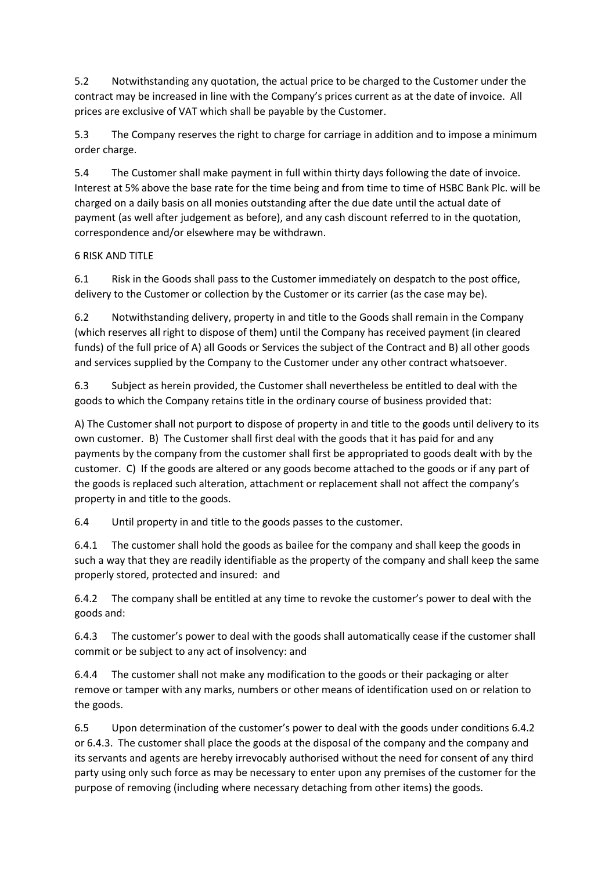5.2 Notwithstanding any quotation, the actual price to be charged to the Customer under the contract may be increased in line with the Company's prices current as at the date of invoice. All prices are exclusive of VAT which shall be payable by the Customer.

5.3 The Company reserves the right to charge for carriage in addition and to impose a minimum order charge.

5.4 The Customer shall make payment in full within thirty days following the date of invoice. Interest at 5% above the base rate for the time being and from time to time of HSBC Bank Plc. will be charged on a daily basis on all monies outstanding after the due date until the actual date of payment (as well after judgement as before), and any cash discount referred to in the quotation, correspondence and/or elsewhere may be withdrawn.

# 6 RISK AND TITLE

6.1 Risk in the Goods shall pass to the Customer immediately on despatch to the post office, delivery to the Customer or collection by the Customer or its carrier (as the case may be).

6.2 Notwithstanding delivery, property in and title to the Goods shall remain in the Company (which reserves all right to dispose of them) until the Company has received payment (in cleared funds) of the full price of A) all Goods or Services the subject of the Contract and B) all other goods and services supplied by the Company to the Customer under any other contract whatsoever.

6.3 Subject as herein provided, the Customer shall nevertheless be entitled to deal with the goods to which the Company retains title in the ordinary course of business provided that:

A) The Customer shall not purport to dispose of property in and title to the goods until delivery to its own customer. B) The Customer shall first deal with the goods that it has paid for and any payments by the company from the customer shall first be appropriated to goods dealt with by the customer. C) If the goods are altered or any goods become attached to the goods or if any part of the goods is replaced such alteration, attachment or replacement shall not affect the company's property in and title to the goods.

6.4 Until property in and title to the goods passes to the customer.

6.4.1 The customer shall hold the goods as bailee for the company and shall keep the goods in such a way that they are readily identifiable as the property of the company and shall keep the same properly stored, protected and insured: and

6.4.2 The company shall be entitled at any time to revoke the customer's power to deal with the goods and:

6.4.3 The customer's power to deal with the goods shall automatically cease if the customer shall commit or be subject to any act of insolvency: and

6.4.4 The customer shall not make any modification to the goods or their packaging or alter remove or tamper with any marks, numbers or other means of identification used on or relation to the goods.

6.5 Upon determination of the customer's power to deal with the goods under conditions 6.4.2 or 6.4.3. The customer shall place the goods at the disposal of the company and the company and its servants and agents are hereby irrevocably authorised without the need for consent of any third party using only such force as may be necessary to enter upon any premises of the customer for the purpose of removing (including where necessary detaching from other items) the goods.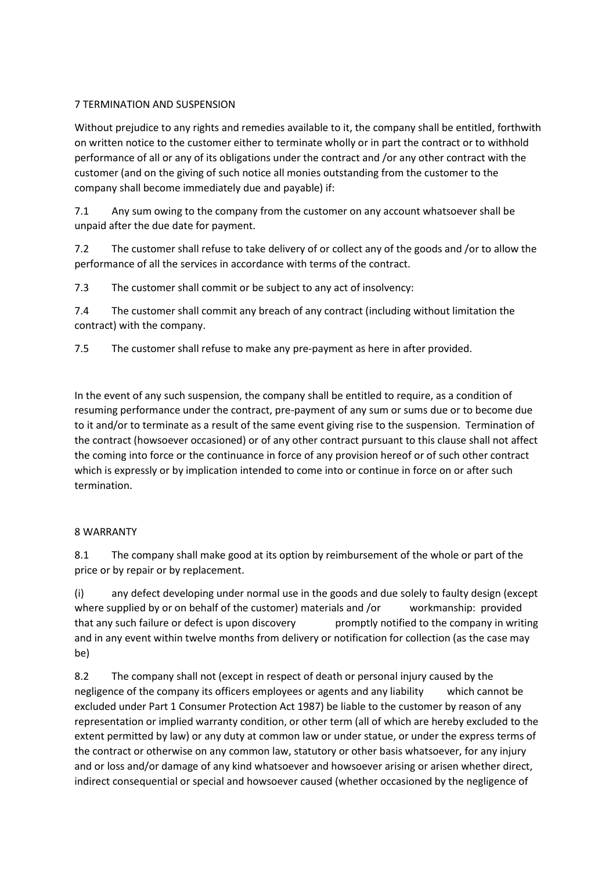# 7 TERMINATION AND SUSPENSION

Without prejudice to any rights and remedies available to it, the company shall be entitled, forthwith on written notice to the customer either to terminate wholly or in part the contract or to withhold performance of all or any of its obligations under the contract and /or any other contract with the customer (and on the giving of such notice all monies outstanding from the customer to the company shall become immediately due and payable) if:

7.1 Any sum owing to the company from the customer on any account whatsoever shall be unpaid after the due date for payment.

7.2 The customer shall refuse to take delivery of or collect any of the goods and /or to allow the performance of all the services in accordance with terms of the contract.

7.3 The customer shall commit or be subject to any act of insolvency:

7.4 The customer shall commit any breach of any contract (including without limitation the contract) with the company.

7.5 The customer shall refuse to make any pre-payment as here in after provided.

In the event of any such suspension, the company shall be entitled to require, as a condition of resuming performance under the contract, pre-payment of any sum or sums due or to become due to it and/or to terminate as a result of the same event giving rise to the suspension. Termination of the contract (howsoever occasioned) or of any other contract pursuant to this clause shall not affect the coming into force or the continuance in force of any provision hereof or of such other contract which is expressly or by implication intended to come into or continue in force on or after such termination.

## 8 WARRANTY

8.1 The company shall make good at its option by reimbursement of the whole or part of the price or by repair or by replacement.

(i) any defect developing under normal use in the goods and due solely to faulty design (except where supplied by or on behalf of the customer) materials and /or workmanship: provided that any such failure or defect is upon discovery promptly notified to the company in writing and in any event within twelve months from delivery or notification for collection (as the case may be)

8.2 The company shall not (except in respect of death or personal injury caused by the negligence of the company its officers employees or agents and any liability which cannot be excluded under Part 1 Consumer Protection Act 1987) be liable to the customer by reason of any representation or implied warranty condition, or other term (all of which are hereby excluded to the extent permitted by law) or any duty at common law or under statue, or under the express terms of the contract or otherwise on any common law, statutory or other basis whatsoever, for any injury and or loss and/or damage of any kind whatsoever and howsoever arising or arisen whether direct, indirect consequential or special and howsoever caused (whether occasioned by the negligence of